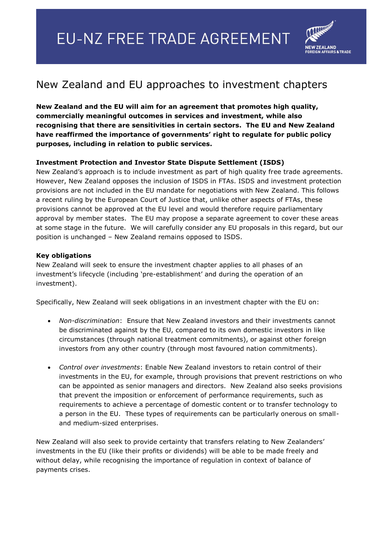

## New Zealand and EU approaches to investment chapters

**New Zealand and the EU will aim for an agreement that promotes high quality, commercially meaningful outcomes in services and investment, while also recognising that there are sensitivities in certain sectors. The EU and New Zealand have reaffirmed the importance of governments' right to regulate for public policy purposes, including in relation to public services.** 

## **Investment Protection and Investor State Dispute Settlement (ISDS)**

New Zealand's approach is to include investment as part of high quality free trade agreements. However, New Zealand opposes the inclusion of ISDS in FTAs. ISDS and investment protection provisions are not included in the EU mandate for negotiations with New Zealand. This follows a recent ruling by the European Court of Justice that, unlike other aspects of FTAs, these provisions cannot be approved at the EU level and would therefore require parliamentary approval by member states. The EU may propose a separate agreement to cover these areas at some stage in the future. We will carefully consider any EU proposals in this regard, but our position is unchanged – New Zealand remains opposed to ISDS.

## **Key obligations**

New Zealand will seek to ensure the investment chapter applies to all phases of an investment's lifecycle (including 'pre-establishment' and during the operation of an investment).

Specifically, New Zealand will seek obligations in an investment chapter with the EU on:

- *Non-discrimination*: Ensure that New Zealand investors and their investments cannot be discriminated against by the EU, compared to its own domestic investors in like circumstances (through national treatment commitments), or against other foreign investors from any other country (through most favoured nation commitments).
- *Control over investments*: Enable New Zealand investors to retain control of their investments in the EU, for example, through provisions that prevent restrictions on who can be appointed as senior managers and directors. New Zealand also seeks provisions that prevent the imposition or enforcement of performance requirements, such as requirements to achieve a percentage of domestic content or to transfer technology to a person in the EU. These types of requirements can be particularly onerous on smalland medium-sized enterprises.

New Zealand will also seek to provide certainty that transfers relating to New Zealanders' investments in the EU (like their profits or dividends) will be able to be made freely and without delay, while recognising the importance of regulation in context of balance of payments crises.